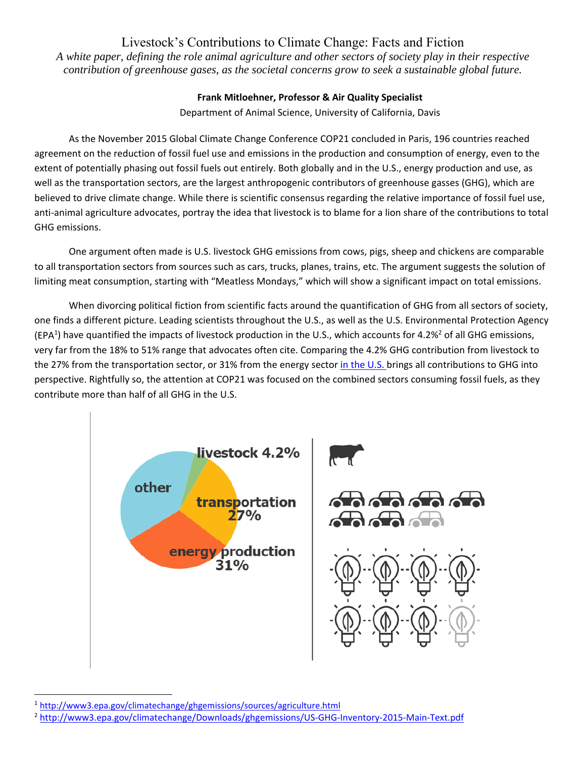# Livestock's Contributions to Climate Change: Facts and Fiction

*A white paper, defining the role animal agriculture and other sectors of society play in their respective contribution of greenhouse gases, as the societal concerns grow to seek a sustainable global future.* 

## **Frank Mitloehner, Professor & Air Quality Specialist**

Department of Animal Science, University of California, Davis

As the November 2015 Global Climate Change Conference COP21 concluded in Paris, 196 countries reached agreement on the reduction of fossil fuel use and emissions in the production and consumption of energy, even to the extent of potentially phasing out fossil fuels out entirely. Both globally and in the U.S., energy production and use, as well as the transportation sectors, are the largest anthropogenic contributors of greenhouse gasses (GHG), which are believed to drive climate change. While there is scientific consensus regarding the relative importance of fossil fuel use, anti-animal agriculture advocates, portray the idea that livestock is to blame for a lion share of the contributions to total GHG emissions.

One argument often made is U.S. livestock GHG emissions from cows, pigs, sheep and chickens are comparable to all transportation sectors from sources such as cars, trucks, planes, trains, etc. The argument suggests the solution of limiting meat consumption, starting with "Meatless Mondays," which will show a significant impact on total emissions.

When divorcing political fiction from scientific facts around the quantification of GHG from all sectors of society, one finds a different picture. Leading scientists throughout the U.S., as well as the U.S. Environmental Protection Agency (EPA<sup>1</sup>) have quantified the impacts of livestock production in the U.S., which accounts for 4.2%<sup>2</sup> of all GHG emissions, very far from the 18% to 51% range that advocates often cite. Comparing the 4.2% GHG contribution from livestock to the 27% from the transportation sector, or 31% from the energy sector in the U.S. brings all contributions to GHG into perspective. Rightfully so, the attention at COP21 was focused on the combined sectors consuming fossil fuels, as they contribute more than half of all GHG in the U.S.



<sup>1</sup>http://www3.epa.gov/climatechange/ghgemissions/sources/agriculture.html

<sup>2</sup> http://www3.epa.gov/climatechange/Downloads/ghgemissions/US‐GHG‐Inventory‐2015‐Main‐Text.pdf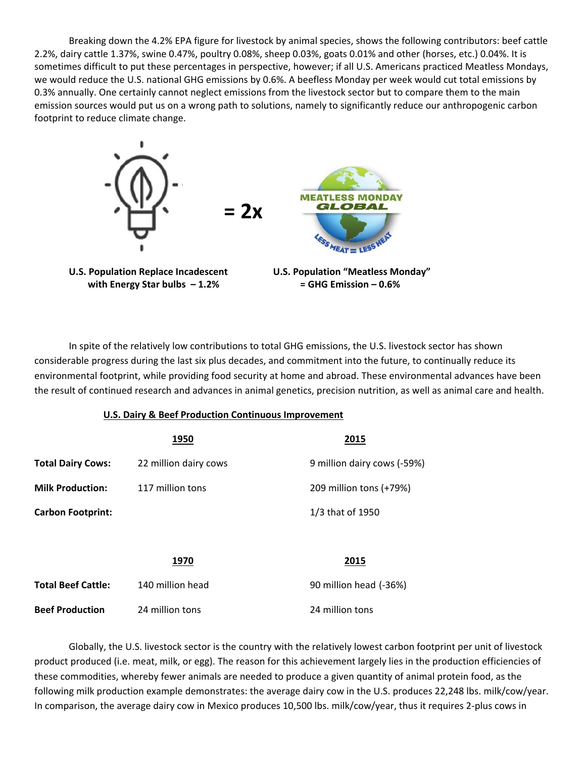Breaking down the 4.2% EPA figure for livestock by animal species, shows the following contributors: beef cattle 2.2%, dairy cattle 1.37%, swine 0.47%, poultry 0.08%, sheep 0.03%, goats 0.01% and other (horses, etc.) 0.04%. It is sometimes difficult to put these percentages in perspective, however; if all U.S. Americans practiced Meatless Mondays, we would reduce the U.S. national GHG emissions by 0.6%. A beefless Monday per week would cut total emissions by 0.3% annually. One certainly cannot neglect emissions from the livestock sector but to compare them to the main emission sources would put us on a wrong path to solutions, namely to significantly reduce our anthropogenic carbon footprint to reduce climate change.



 **with Energy Star bulbs – 1.2% = GHG Emission – 0.6%** 



In spite of the relatively low contributions to total GHG emissions, the U.S. livestock sector has shown considerable progress during the last six plus decades, and commitment into the future, to continually reduce its environmental footprint, while providing food security at home and abroad. These environmental advances have been the result of continued research and advances in animal genetics, precision nutrition, as well as animal care and health.

#### **U.S. Dairy & Beef Production Continuous Improvement**

|                           | 1950                  | 2015                        |
|---------------------------|-----------------------|-----------------------------|
| <b>Total Dairy Cows:</b>  | 22 million dairy cows | 9 million dairy cows (-59%) |
| <b>Milk Production:</b>   | 117 million tons      | 209 million tons (+79%)     |
| <b>Carbon Footprint:</b>  |                       | 1/3 that of 1950            |
|                           |                       |                             |
|                           | 1970                  | 2015                        |
| <b>Total Beef Cattle:</b> | 140 million head      | 90 million head (-36%)      |
| <b>Beef Production</b>    | 24 million tons       | 24 million tons             |

Globally, the U.S. livestock sector is the country with the relatively lowest carbon footprint per unit of livestock product produced (i.e. meat, milk, or egg). The reason for this achievement largely lies in the production efficiencies of these commodities, whereby fewer animals are needed to produce a given quantity of animal protein food, as the following milk production example demonstrates: the average dairy cow in the U.S. produces 22,248 lbs. milk/cow/year. In comparison, the average dairy cow in Mexico produces 10,500 lbs. milk/cow/year, thus it requires 2‐plus cows in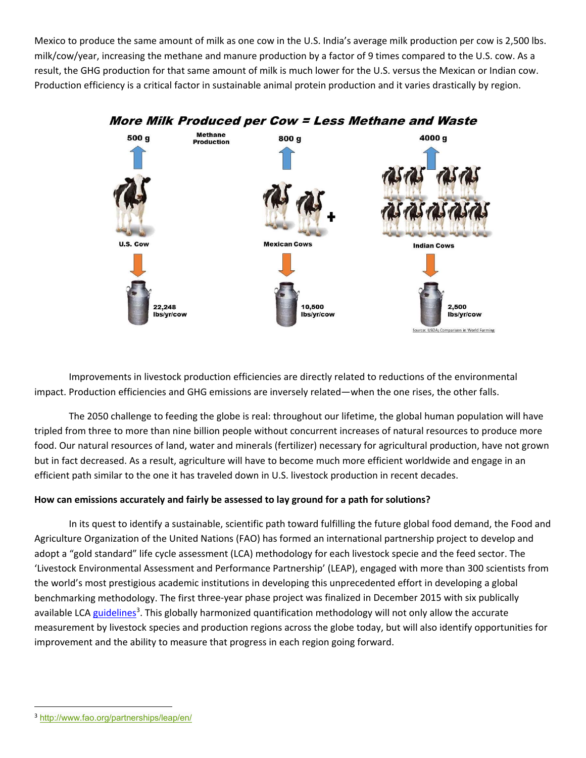Mexico to produce the same amount of milk as one cow in the U.S. India's average milk production per cow is 2,500 lbs. milk/cow/year, increasing the methane and manure production by a factor of 9 times compared to the U.S. cow. As a result, the GHG production for that same amount of milk is much lower for the U.S. versus the Mexican or Indian cow. Production efficiency is a critical factor in sustainable animal protein production and it varies drastically by region.



Improvements in livestock production efficiencies are directly related to reductions of the environmental impact. Production efficiencies and GHG emissions are inversely related—when the one rises, the other falls.

 The 2050 challenge to feeding the globe is real: throughout our lifetime, the global human population will have tripled from three to more than nine billion people without concurrent increases of natural resources to produce more food. Our natural resources of land, water and minerals (fertilizer) necessary for agricultural production, have not grown but in fact decreased. As a result, agriculture will have to become much more efficient worldwide and engage in an efficient path similar to the one it has traveled down in U.S. livestock production in recent decades.

### **How can emissions accurately and fairly be assessed to lay ground for a path for solutions?**

In its quest to identify a sustainable, scientific path toward fulfilling the future global food demand, the Food and Agriculture Organization of the United Nations (FAO) has formed an international partnership project to develop and adopt a "gold standard" life cycle assessment (LCA) methodology for each livestock specie and the feed sector. The 'Livestock Environmental Assessment and Performance Partnership' (LEAP), engaged with more than 300 scientists from the world's most prestigious academic institutions in developing this unprecedented effort in developing a global benchmarking methodology. The first three‐year phase project was finalized in December 2015 with six publically available LCA guidelines<sup>3</sup>. This globally harmonized quantification methodology will not only allow the accurate measurement by livestock species and production regions across the globe today, but will also identify opportunities for improvement and the ability to measure that progress in each region going forward.

<sup>3</sup> http://www.fao.org/partnerships/leap/en/